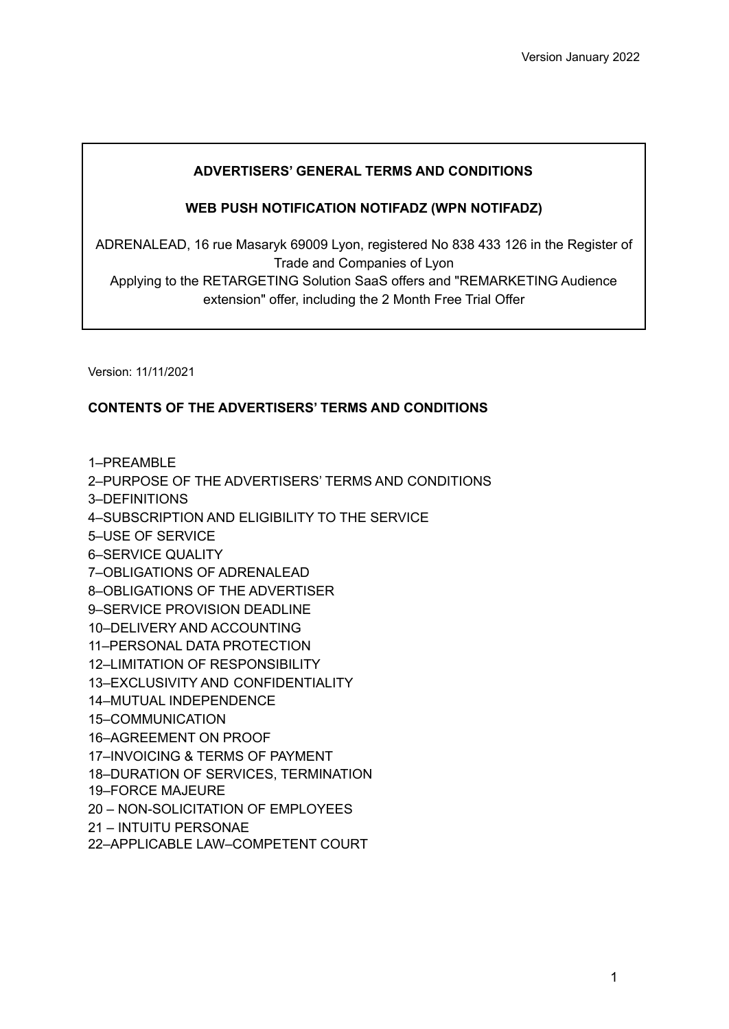## **ADVERTISERS' GENERAL TERMS AND CONDITIONS**

## **WEB PUSH NOTIFICATION NOTIFADZ (WPN NOTIFADZ)**

ADRENALEAD, 16 rue Masaryk 69009 Lyon, registered No 838 433 126 in the Register of Trade and Companies of Lyon Applying to the RETARGETING Solution SaaS offers and "REMARKETING Audience extension" offer, including the 2 Month Free Trial Offer

Version: 11/11/2021

## **CONTENTS OF THE ADVERTISERS' TERMS AND CONDITIONS**

1–PREAMBLE 2–PURPOSE OF THE ADVERTISERS' TERMS AND CONDITIONS 3–DEFINITIONS 4–SUBSCRIPTION AND ELIGIBILITY TO THE SERVICE 5–USE OF SERVICE 6–SERVICE QUALITY 7–OBLIGATIONS OF ADRENALEAD 8–OBLIGATIONS OF THE ADVERTISER 9–SERVICE PROVISION DEADLINE 10–DELIVERY AND ACCOUNTING 11–PERSONAL DATA PROTECTION 12–LIMITATION OF RESPONSIBILITY 13–EXCLUSIVITY AND CONFIDENTIALITY 14–MUTUAL INDEPENDENCE 15–COMMUNICATION 16–AGREEMENT ON PROOF 17–INVOICING & TERMS OF PAYMENT 18–DURATION OF SERVICES, TERMINATION 19–FORCE MAJEURE 20 – NON-SOLICITATION OF EMPLOYEES 21 – INTUITU PERSONAE 22–APPLICABLE LAW–COMPETENT COURT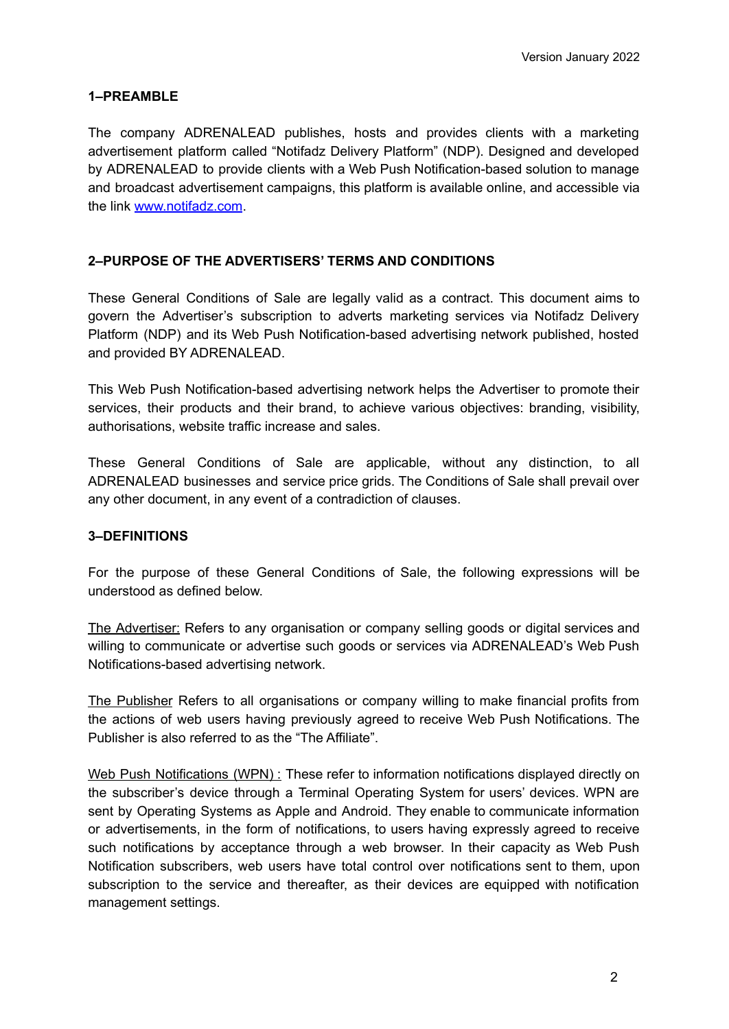## **1–PREAMBLE**

The company ADRENALEAD publishes, hosts and provides clients with a marketing advertisement platform called "Notifadz Delivery Platform" (NDP). Designed and developed by ADRENALEAD to provide clients with a Web Push Notification-based solution to manage and broadcast advertisement campaigns, this platform is available online, and accessible via the link www.notifadz.com.

## **2–PURPOSE OF THE ADVERTISERS' TERMS AND CONDITIONS**

These General Conditions of Sale are legally valid as a contract. This document aims to govern the Advertiser's subscription to adverts marketing services via Notifadz Delivery Platform (NDP) and its Web Push Notification-based advertising network published, hosted and provided BY ADRENALEAD.

This Web Push Notification-based advertising network helps the Advertiser to promote their services, their products and their brand, to achieve various objectives: branding, visibility, authorisations, website traffic increase and sales.

These General Conditions of Sale are applicable, without any distinction, to all ADRENALEAD businesses and service price grids. The Conditions of Sale shall prevail over any other document, in any event of a contradiction of clauses.

#### **3–DEFINITIONS**

For the purpose of these General Conditions of Sale, the following expressions will be understood as defined below.

The Advertiser: Refers to any organisation or company selling goods or digital services and willing to communicate or advertise such goods or services via ADRENALEAD's Web Push Notifications-based advertising network.

The Publisher Refers to all organisations or company willing to make financial profits from the actions of web users having previously agreed to receive Web Push Notifications. The Publisher is also referred to as the "The Affiliate".

Web Push Notifications (WPN) : These refer to information notifications displayed directly on the subscriber's device through a Terminal Operating System for users' devices. WPN are sent by Operating Systems as Apple and Android. They enable to communicate information or advertisements, in the form of notifications, to users having expressly agreed to receive such notifications by acceptance through a web browser. In their capacity as Web Push Notification subscribers, web users have total control over notifications sent to them, upon subscription to the service and thereafter, as their devices are equipped with notification management settings.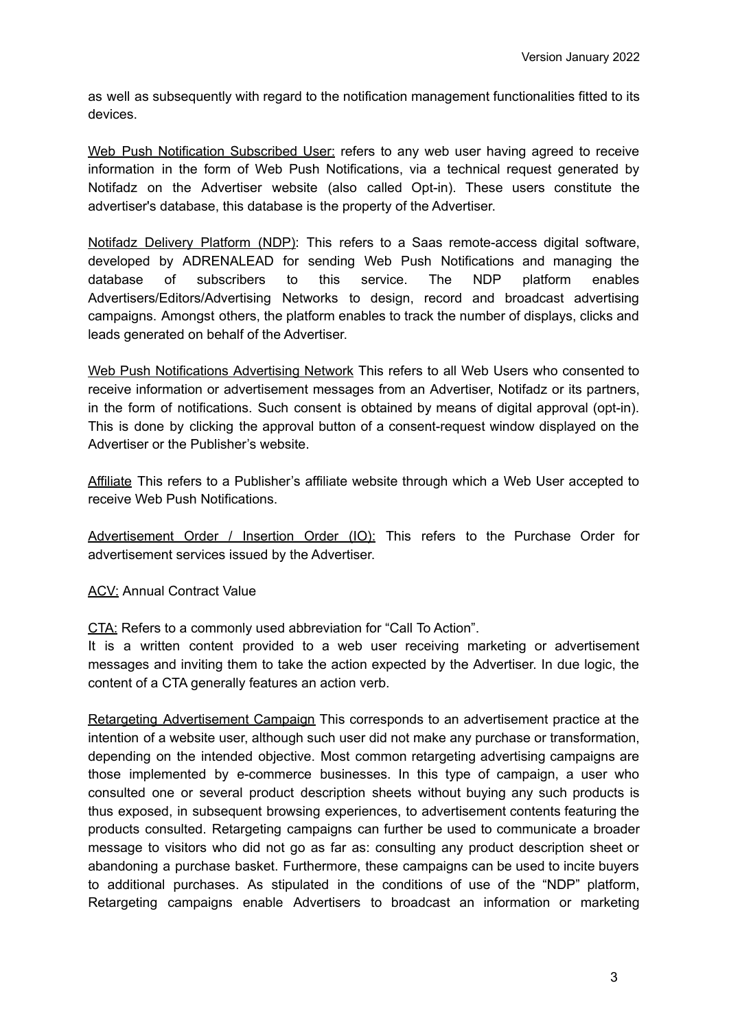as well as subsequently with regard to the notification management functionalities fitted to its devices.

Web Push Notification Subscribed User: refers to any web user having agreed to receive information in the form of Web Push Notifications, via a technical request generated by Notifadz on the Advertiser website (also called Opt-in). These users constitute the advertiser's database, this database is the property of the Advertiser.

Notifadz Delivery Platform (NDP): This refers to a Saas remote-access digital software, developed by ADRENALEAD for sending Web Push Notifications and managing the database of subscribers to this service. The NDP platform enables Advertisers/Editors/Advertising Networks to design, record and broadcast advertising campaigns. Amongst others, the platform enables to track the number of displays, clicks and leads generated on behalf of the Advertiser.

Web Push Notifications Advertising Network This refers to all Web Users who consented to receive information or advertisement messages from an Advertiser, Notifadz or its partners, in the form of notifications. Such consent is obtained by means of digital approval (opt-in). This is done by clicking the approval button of a consent-request window displayed on the Advertiser or the Publisher's website.

Affiliate This refers to a Publisher's affiliate website through which a Web User accepted to receive Web Push Notifications.

Advertisement Order / Insertion Order (IO): This refers to the Purchase Order for advertisement services issued by the Advertiser.

**ACV: Annual Contract Value** 

CTA: Refers to a commonly used abbreviation for "Call To Action".

It is a written content provided to a web user receiving marketing or advertisement messages and inviting them to take the action expected by the Advertiser. In due logic, the content of a CTA generally features an action verb.

Retargeting Advertisement Campaign This corresponds to an advertisement practice at the intention of a website user, although such user did not make any purchase or transformation, depending on the intended objective. Most common retargeting advertising campaigns are those implemented by e-commerce businesses. In this type of campaign, a user who consulted one or several product description sheets without buying any such products is thus exposed, in subsequent browsing experiences, to advertisement contents featuring the products consulted. Retargeting campaigns can further be used to communicate a broader message to visitors who did not go as far as: consulting any product description sheet or abandoning a purchase basket. Furthermore, these campaigns can be used to incite buyers to additional purchases. As stipulated in the conditions of use of the "NDP" platform, Retargeting campaigns enable Advertisers to broadcast an information or marketing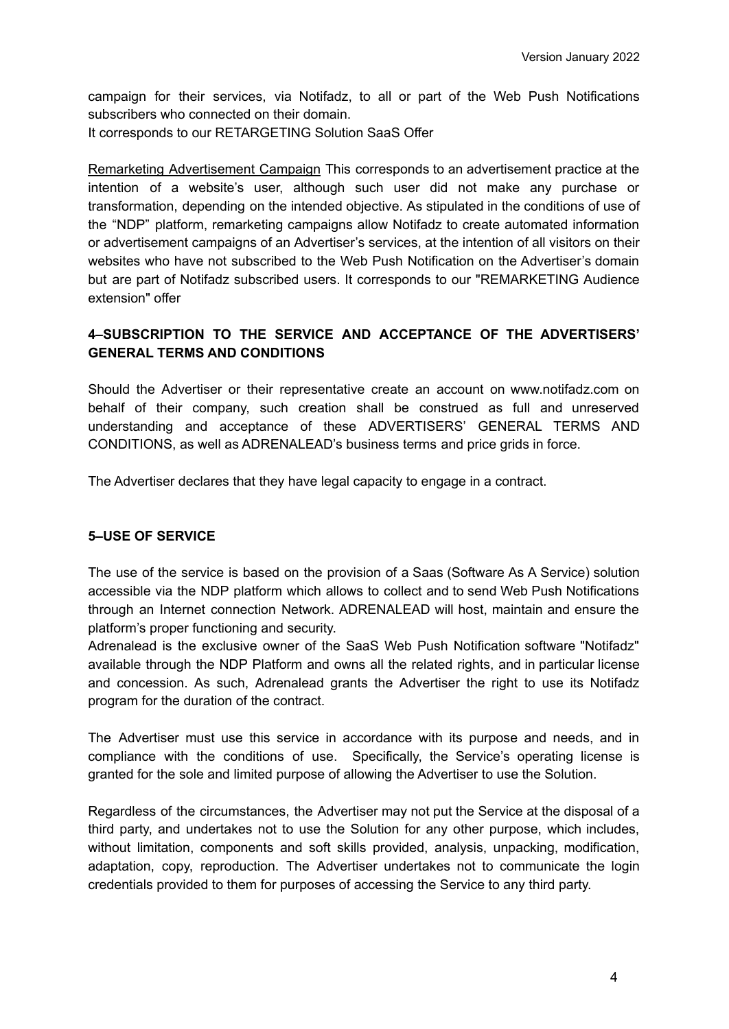campaign for their services, via Notifadz, to all or part of the Web Push Notifications subscribers who connected on their domain.

It corresponds to our RETARGETING Solution SaaS Offer

Remarketing Advertisement Campaign This corresponds to an advertisement practice at the intention of a website's user, although such user did not make any purchase or transformation, depending on the intended objective. As stipulated in the conditions of use of the "NDP" platform, remarketing campaigns allow Notifadz to create automated information or advertisement campaigns of an Advertiser's services, at the intention of all visitors on their websites who have not subscribed to the Web Push Notification on the Advertiser's domain but are part of Notifadz subscribed users. It corresponds to our "REMARKETING Audience extension" offer

# **4–SUBSCRIPTION TO THE SERVICE AND ACCEPTANCE OF THE ADVERTISERS' GENERAL TERMS AND CONDITIONS**

Should the Advertiser or their representative create an account on www.notifadz.com on behalf of their company, such creation shall be construed as full and unreserved understanding and acceptance of these ADVERTISERS' GENERAL TERMS AND CONDITIONS, as well as ADRENALEAD's business terms and price grids in force.

The Advertiser declares that they have legal capacity to engage in a contract.

# **5–USE OF SERVICE**

The use of the service is based on the provision of a Saas (Software As A Service) solution accessible via the NDP platform which allows to collect and to send Web Push Notifications through an Internet connection Network. ADRENALEAD will host, maintain and ensure the platform's proper functioning and security.

Adrenalead is the exclusive owner of the SaaS Web Push Notification software "Notifadz" available through the NDP Platform and owns all the related rights, and in particular license and concession. As such, Adrenalead grants the Advertiser the right to use its Notifadz program for the duration of the contract.

The Advertiser must use this service in accordance with its purpose and needs, and in compliance with the conditions of use. Specifically, the Service's operating license is granted for the sole and limited purpose of allowing the Advertiser to use the Solution.

Regardless of the circumstances, the Advertiser may not put the Service at the disposal of a third party, and undertakes not to use the Solution for any other purpose, which includes, without limitation, components and soft skills provided, analysis, unpacking, modification, adaptation, copy, reproduction. The Advertiser undertakes not to communicate the login credentials provided to them for purposes of accessing the Service to any third party.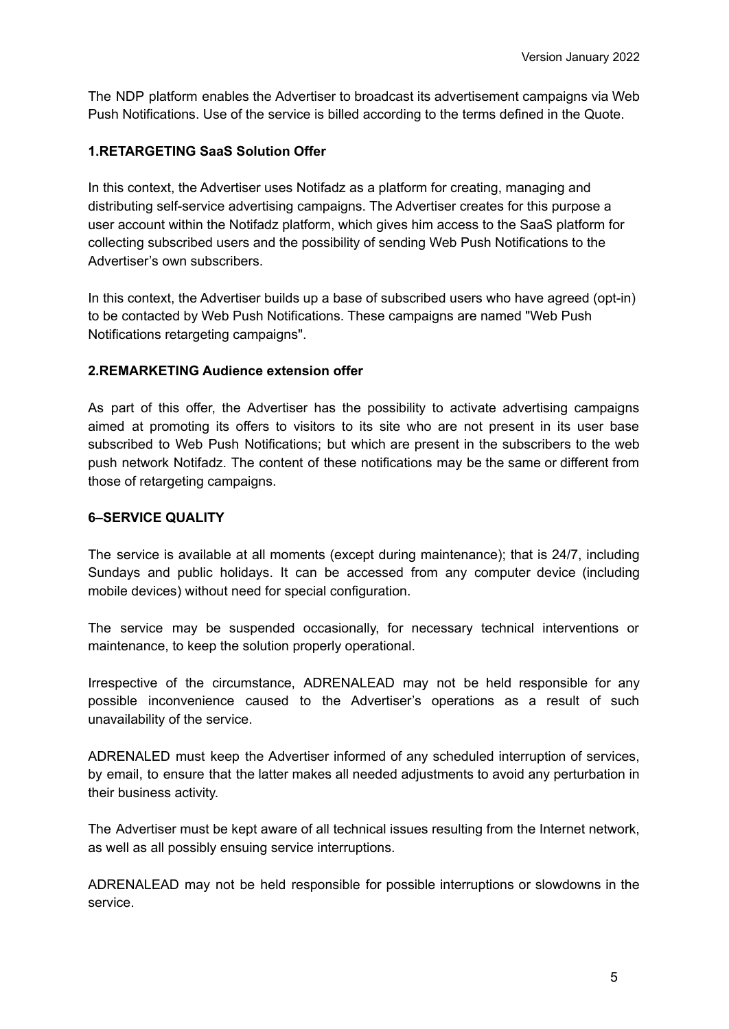The NDP platform enables the Advertiser to broadcast its advertisement campaigns via Web Push Notifications. Use of the service is billed according to the terms defined in the Quote.

# **1.RETARGETING SaaS Solution Offer**

In this context, the Advertiser uses Notifadz as a platform for creating, managing and distributing self-service advertising campaigns. The Advertiser creates for this purpose a user account within the Notifadz platform, which gives him access to the SaaS platform for collecting subscribed users and the possibility of sending Web Push Notifications to the Advertiser's own subscribers.

In this context, the Advertiser builds up a base of subscribed users who have agreed (opt-in) to be contacted by Web Push Notifications. These campaigns are named "Web Push Notifications retargeting campaigns".

## **2.REMARKETING Audience extension offer**

As part of this offer, the Advertiser has the possibility to activate advertising campaigns aimed at promoting its offers to visitors to its site who are not present in its user base subscribed to Web Push Notifications; but which are present in the subscribers to the web push network Notifadz. The content of these notifications may be the same or different from those of retargeting campaigns.

# **6–SERVICE QUALITY**

The service is available at all moments (except during maintenance); that is 24/7, including Sundays and public holidays. It can be accessed from any computer device (including mobile devices) without need for special configuration.

The service may be suspended occasionally, for necessary technical interventions or maintenance, to keep the solution properly operational.

Irrespective of the circumstance, ADRENALEAD may not be held responsible for any possible inconvenience caused to the Advertiser's operations as a result of such unavailability of the service.

ADRENALED must keep the Advertiser informed of any scheduled interruption of services, by email, to ensure that the latter makes all needed adjustments to avoid any perturbation in their business activity.

The Advertiser must be kept aware of all technical issues resulting from the Internet network, as well as all possibly ensuing service interruptions.

ADRENALEAD may not be held responsible for possible interruptions or slowdowns in the service.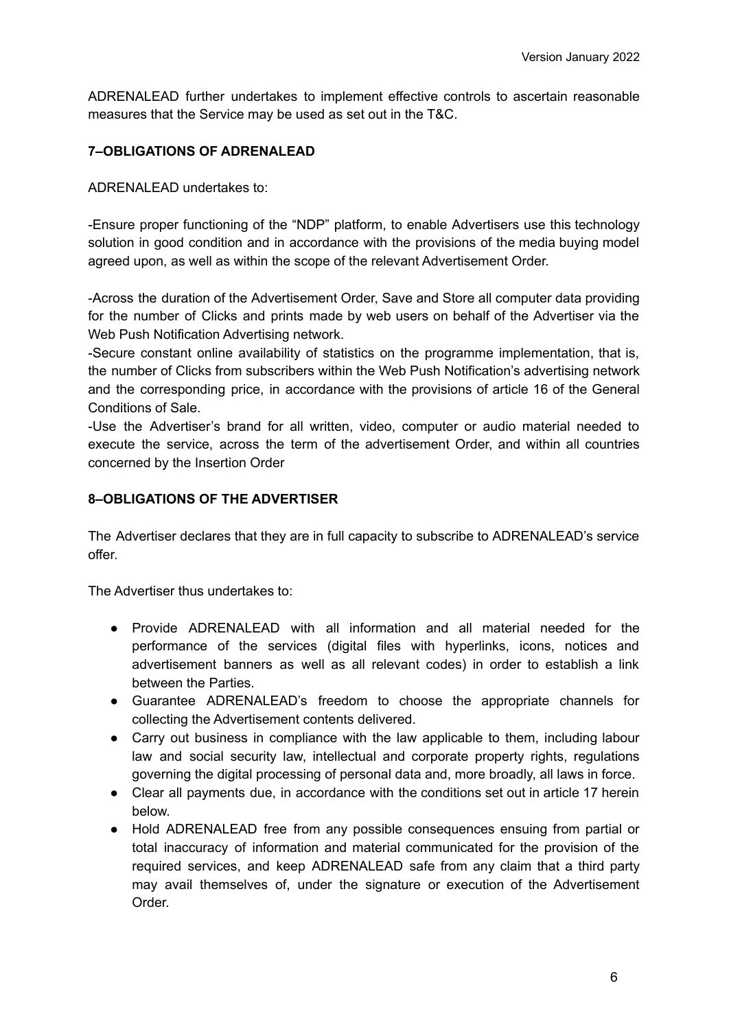ADRENALEAD further undertakes to implement effective controls to ascertain reasonable measures that the Service may be used as set out in the T&C.

# **7–OBLIGATIONS OF ADRENALEAD**

ADRENALEAD undertakes to:

-Ensure proper functioning of the "NDP" platform, to enable Advertisers use this technology solution in good condition and in accordance with the provisions of the media buying model agreed upon, as well as within the scope of the relevant Advertisement Order.

-Across the duration of the Advertisement Order, Save and Store all computer data providing for the number of Clicks and prints made by web users on behalf of the Advertiser via the Web Push Notification Advertising network.

-Secure constant online availability of statistics on the programme implementation, that is, the number of Clicks from subscribers within the Web Push Notification's advertising network and the corresponding price, in accordance with the provisions of article 16 of the General Conditions of Sale.

-Use the Advertiser's brand for all written, video, computer or audio material needed to execute the service, across the term of the advertisement Order, and within all countries concerned by the Insertion Order

#### **8–OBLIGATIONS OF THE ADVERTISER**

The Advertiser declares that they are in full capacity to subscribe to ADRENALEAD's service offer.

The Advertiser thus undertakes to:

- Provide ADRENALEAD with all information and all material needed for the performance of the services (digital files with hyperlinks, icons, notices and advertisement banners as well as all relevant codes) in order to establish a link between the Parties.
- Guarantee ADRENALEAD's freedom to choose the appropriate channels for collecting the Advertisement contents delivered.
- Carry out business in compliance with the law applicable to them, including labour law and social security law, intellectual and corporate property rights, regulations governing the digital processing of personal data and, more broadly, all laws in force.
- Clear all payments due, in accordance with the conditions set out in article 17 herein below.
- Hold ADRENALEAD free from any possible consequences ensuing from partial or total inaccuracy of information and material communicated for the provision of the required services, and keep ADRENALEAD safe from any claim that a third party may avail themselves of, under the signature or execution of the Advertisement Order.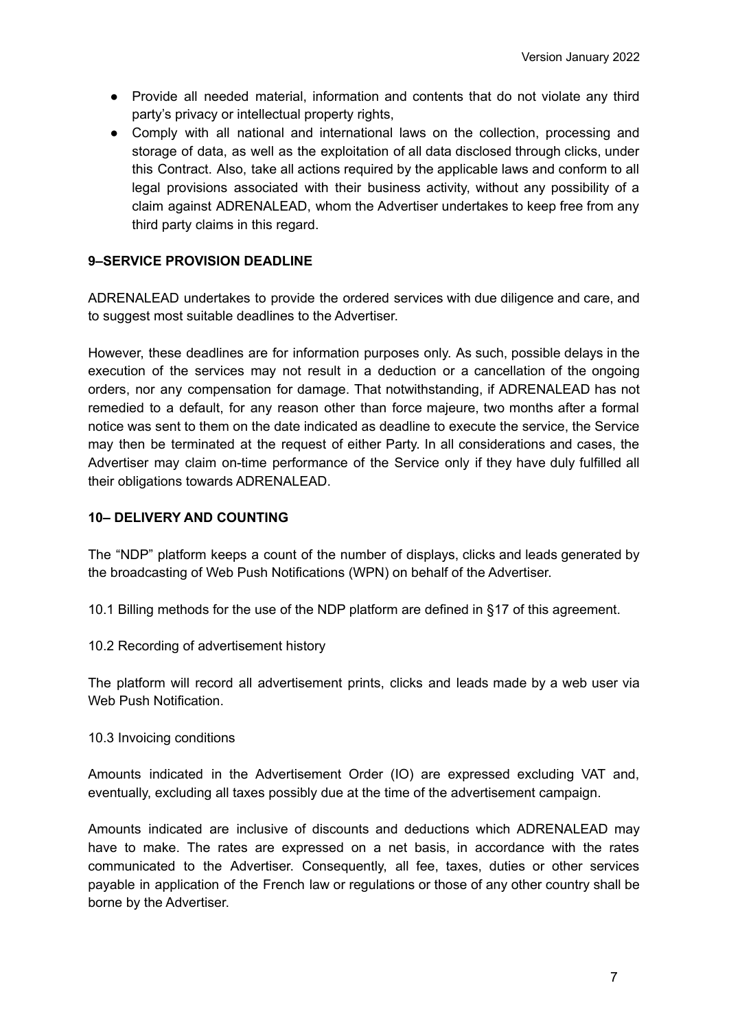- Provide all needed material, information and contents that do not violate any third party's privacy or intellectual property rights,
- Comply with all national and international laws on the collection, processing and storage of data, as well as the exploitation of all data disclosed through clicks, under this Contract. Also, take all actions required by the applicable laws and conform to all legal provisions associated with their business activity, without any possibility of a claim against ADRENALEAD, whom the Advertiser undertakes to keep free from any third party claims in this regard.

# **9–SERVICE PROVISION DEADLINE**

ADRENALEAD undertakes to provide the ordered services with due diligence and care, and to suggest most suitable deadlines to the Advertiser.

However, these deadlines are for information purposes only. As such, possible delays in the execution of the services may not result in a deduction or a cancellation of the ongoing orders, nor any compensation for damage. That notwithstanding, if ADRENALEAD has not remedied to a default, for any reason other than force majeure, two months after a formal notice was sent to them on the date indicated as deadline to execute the service, the Service may then be terminated at the request of either Party. In all considerations and cases, the Advertiser may claim on-time performance of the Service only if they have duly fulfilled all their obligations towards ADRENALEAD.

### **10– DELIVERY AND COUNTING**

The "NDP" platform keeps a count of the number of displays, clicks and leads generated by the broadcasting of Web Push Notifications (WPN) on behalf of the Advertiser.

10.1 Billing methods for the use of the NDP platform are defined in §17 of this agreement.

10.2 Recording of advertisement history

The platform will record all advertisement prints, clicks and leads made by a web user via Web Push Notification.

10.3 Invoicing conditions

Amounts indicated in the Advertisement Order (IO) are expressed excluding VAT and, eventually, excluding all taxes possibly due at the time of the advertisement campaign.

Amounts indicated are inclusive of discounts and deductions which ADRENALEAD may have to make. The rates are expressed on a net basis, in accordance with the rates communicated to the Advertiser. Consequently, all fee, taxes, duties or other services payable in application of the French law or regulations or those of any other country shall be borne by the Advertiser.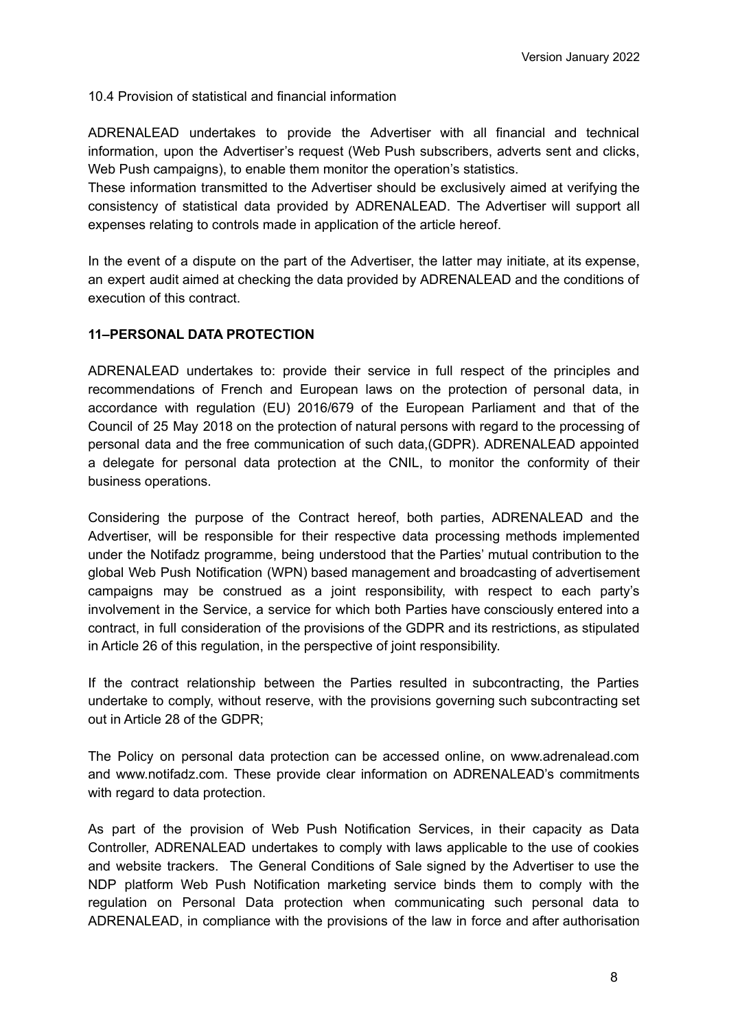10.4 Provision of statistical and financial information

ADRENALEAD undertakes to provide the Advertiser with all financial and technical information, upon the Advertiser's request (Web Push subscribers, adverts sent and clicks, Web Push campaigns), to enable them monitor the operation's statistics.

These information transmitted to the Advertiser should be exclusively aimed at verifying the consistency of statistical data provided by ADRENALEAD. The Advertiser will support all expenses relating to controls made in application of the article hereof.

In the event of a dispute on the part of the Advertiser, the latter may initiate, at its expense, an expert audit aimed at checking the data provided by ADRENALEAD and the conditions of execution of this contract.

## **11–PERSONAL DATA PROTECTION**

ADRENALEAD undertakes to: provide their service in full respect of the principles and recommendations of French and European laws on the protection of personal data, in accordance with regulation (EU) 2016/679 of the European Parliament and that of the Council of 25 May 2018 on the protection of natural persons with regard to the processing of personal data and the free communication of such data,(GDPR). ADRENALEAD appointed a delegate for personal data protection at the CNIL, to monitor the conformity of their business operations.

Considering the purpose of the Contract hereof, both parties, ADRENALEAD and the Advertiser, will be responsible for their respective data processing methods implemented under the Notifadz programme, being understood that the Parties' mutual contribution to the global Web Push Notification (WPN) based management and broadcasting of advertisement campaigns may be construed as a joint responsibility, with respect to each party's involvement in the Service, a service for which both Parties have consciously entered into a contract, in full consideration of the provisions of the GDPR and its restrictions, as stipulated in Article 26 of this regulation, in the perspective of joint responsibility.

If the contract relationship between the Parties resulted in subcontracting, the Parties undertake to comply, without reserve, with the provisions governing such subcontracting set out in Article 28 of the GDPR;

The Policy on personal data protection can be accessed online, on www.adrenalead.com and www.notifadz.com. These provide clear information on ADRENALEAD's commitments with regard to data protection.

As part of the provision of Web Push Notification Services, in their capacity as Data Controller, ADRENALEAD undertakes to comply with laws applicable to the use of cookies and website trackers. The General Conditions of Sale signed by the Advertiser to use the NDP platform Web Push Notification marketing service binds them to comply with the regulation on Personal Data protection when communicating such personal data to ADRENALEAD, in compliance with the provisions of the law in force and after authorisation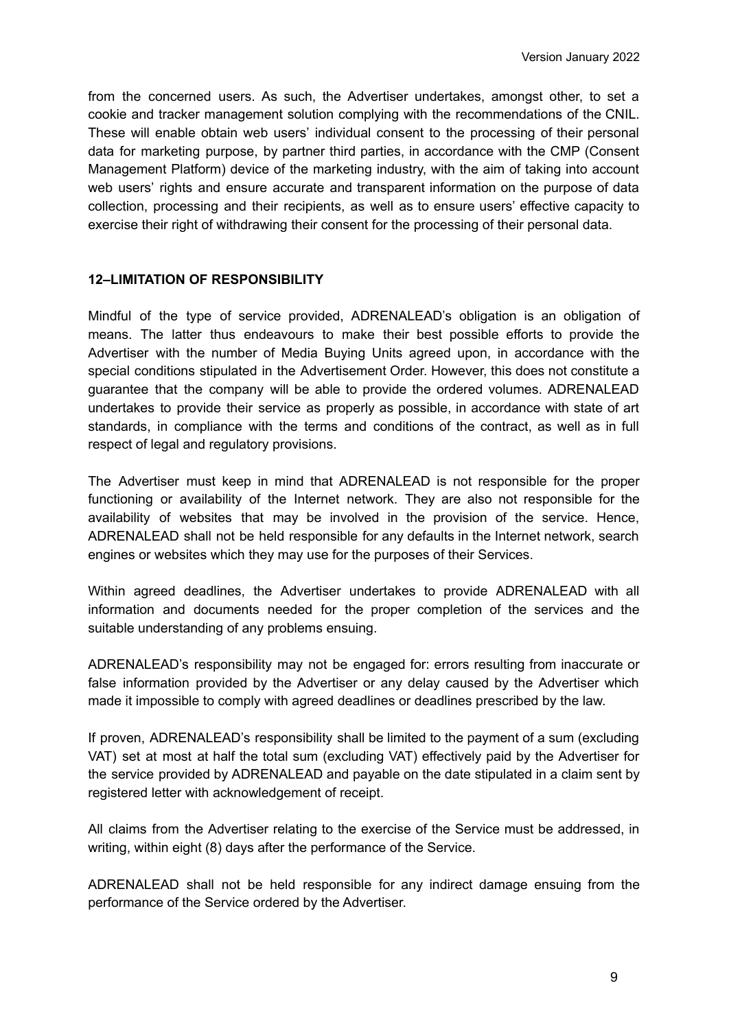from the concerned users. As such, the Advertiser undertakes, amongst other, to set a cookie and tracker management solution complying with the recommendations of the CNIL. These will enable obtain web users' individual consent to the processing of their personal data for marketing purpose, by partner third parties, in accordance with the CMP (Consent Management Platform) device of the marketing industry, with the aim of taking into account web users' rights and ensure accurate and transparent information on the purpose of data collection, processing and their recipients, as well as to ensure users' effective capacity to exercise their right of withdrawing their consent for the processing of their personal data.

## **12–LIMITATION OF RESPONSIBILITY**

Mindful of the type of service provided, ADRENALEAD's obligation is an obligation of means. The latter thus endeavours to make their best possible efforts to provide the Advertiser with the number of Media Buying Units agreed upon, in accordance with the special conditions stipulated in the Advertisement Order. However, this does not constitute a guarantee that the company will be able to provide the ordered volumes. ADRENALEAD undertakes to provide their service as properly as possible, in accordance with state of art standards, in compliance with the terms and conditions of the contract, as well as in full respect of legal and regulatory provisions.

The Advertiser must keep in mind that ADRENALEAD is not responsible for the proper functioning or availability of the Internet network. They are also not responsible for the availability of websites that may be involved in the provision of the service. Hence, ADRENALEAD shall not be held responsible for any defaults in the Internet network, search engines or websites which they may use for the purposes of their Services.

Within agreed deadlines, the Advertiser undertakes to provide ADRENALEAD with all information and documents needed for the proper completion of the services and the suitable understanding of any problems ensuing.

ADRENALEAD's responsibility may not be engaged for: errors resulting from inaccurate or false information provided by the Advertiser or any delay caused by the Advertiser which made it impossible to comply with agreed deadlines or deadlines prescribed by the law.

If proven, ADRENALEAD's responsibility shall be limited to the payment of a sum (excluding VAT) set at most at half the total sum (excluding VAT) effectively paid by the Advertiser for the service provided by ADRENALEAD and payable on the date stipulated in a claim sent by registered letter with acknowledgement of receipt.

All claims from the Advertiser relating to the exercise of the Service must be addressed, in writing, within eight (8) days after the performance of the Service.

ADRENALEAD shall not be held responsible for any indirect damage ensuing from the performance of the Service ordered by the Advertiser.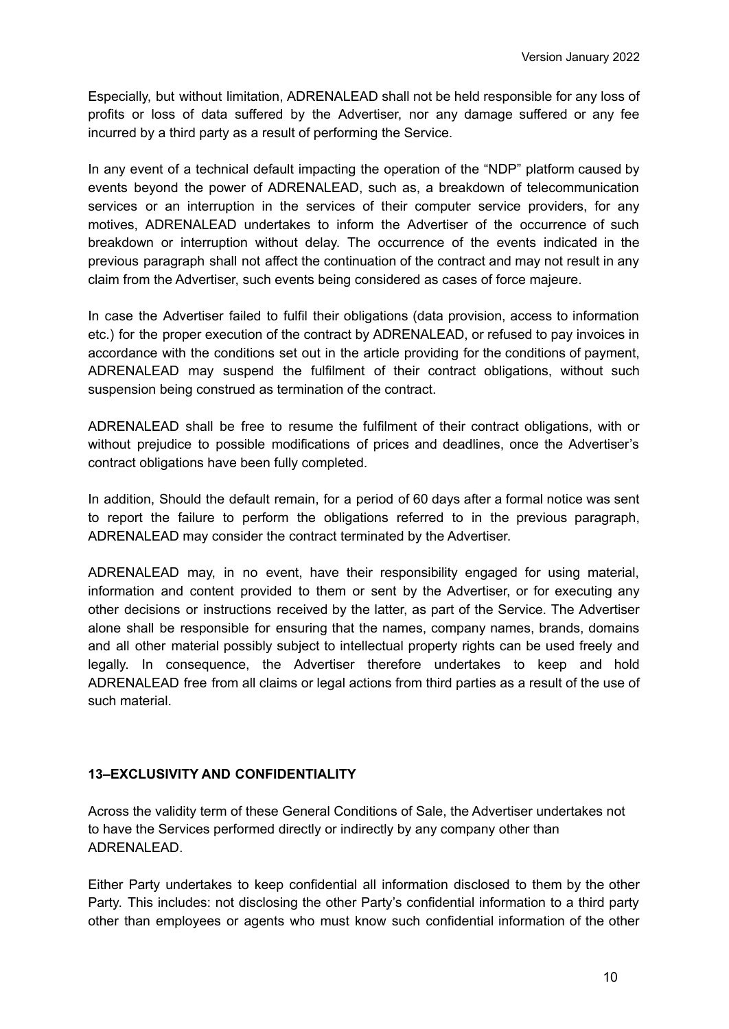Especially, but without limitation, ADRENALEAD shall not be held responsible for any loss of profits or loss of data suffered by the Advertiser, nor any damage suffered or any fee incurred by a third party as a result of performing the Service.

In any event of a technical default impacting the operation of the "NDP" platform caused by events beyond the power of ADRENALEAD, such as, a breakdown of telecommunication services or an interruption in the services of their computer service providers, for any motives, ADRENALEAD undertakes to inform the Advertiser of the occurrence of such breakdown or interruption without delay. The occurrence of the events indicated in the previous paragraph shall not affect the continuation of the contract and may not result in any claim from the Advertiser, such events being considered as cases of force majeure.

In case the Advertiser failed to fulfil their obligations (data provision, access to information etc.) for the proper execution of the contract by ADRENALEAD, or refused to pay invoices in accordance with the conditions set out in the article providing for the conditions of payment, ADRENALEAD may suspend the fulfilment of their contract obligations, without such suspension being construed as termination of the contract.

ADRENALEAD shall be free to resume the fulfilment of their contract obligations, with or without prejudice to possible modifications of prices and deadlines, once the Advertiser's contract obligations have been fully completed.

In addition, Should the default remain, for a period of 60 days after a formal notice was sent to report the failure to perform the obligations referred to in the previous paragraph, ADRENALEAD may consider the contract terminated by the Advertiser.

ADRENALEAD may, in no event, have their responsibility engaged for using material, information and content provided to them or sent by the Advertiser, or for executing any other decisions or instructions received by the latter, as part of the Service. The Advertiser alone shall be responsible for ensuring that the names, company names, brands, domains and all other material possibly subject to intellectual property rights can be used freely and legally. In consequence, the Advertiser therefore undertakes to keep and hold ADRENALEAD free from all claims or legal actions from third parties as a result of the use of such material.

# **13–EXCLUSIVITY AND CONFIDENTIALITY**

Across the validity term of these General Conditions of Sale, the Advertiser undertakes not to have the Services performed directly or indirectly by any company other than ADRENALEAD.

Either Party undertakes to keep confidential all information disclosed to them by the other Party. This includes: not disclosing the other Party's confidential information to a third party other than employees or agents who must know such confidential information of the other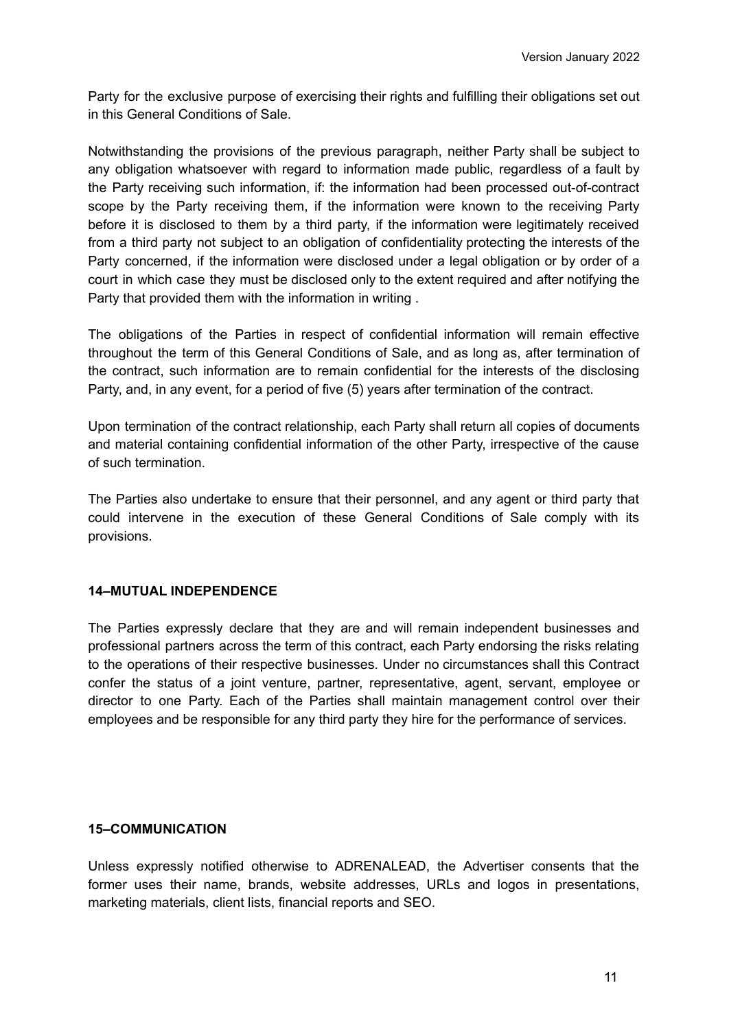Party for the exclusive purpose of exercising their rights and fulfilling their obligations set out in this General Conditions of Sale.

Notwithstanding the provisions of the previous paragraph, neither Party shall be subject to any obligation whatsoever with regard to information made public, regardless of a fault by the Party receiving such information, if: the information had been processed out-of-contract scope by the Party receiving them, if the information were known to the receiving Party before it is disclosed to them by a third party, if the information were legitimately received from a third party not subject to an obligation of confidentiality protecting the interests of the Party concerned, if the information were disclosed under a legal obligation or by order of a court in which case they must be disclosed only to the extent required and after notifying the Party that provided them with the information in writing .

The obligations of the Parties in respect of confidential information will remain effective throughout the term of this General Conditions of Sale, and as long as, after termination of the contract, such information are to remain confidential for the interests of the disclosing Party, and, in any event, for a period of five (5) years after termination of the contract.

Upon termination of the contract relationship, each Party shall return all copies of documents and material containing confidential information of the other Party, irrespective of the cause of such termination.

The Parties also undertake to ensure that their personnel, and any agent or third party that could intervene in the execution of these General Conditions of Sale comply with its provisions.

# **14–MUTUAL INDEPENDENCE**

The Parties expressly declare that they are and will remain independent businesses and professional partners across the term of this contract, each Party endorsing the risks relating to the operations of their respective businesses. Under no circumstances shall this Contract confer the status of a joint venture, partner, representative, agent, servant, employee or director to one Party. Each of the Parties shall maintain management control over their employees and be responsible for any third party they hire for the performance of services.

#### **15–COMMUNICATION**

Unless expressly notified otherwise to ADRENALEAD, the Advertiser consents that the former uses their name, brands, website addresses, URLs and logos in presentations, marketing materials, client lists, financial reports and SEO.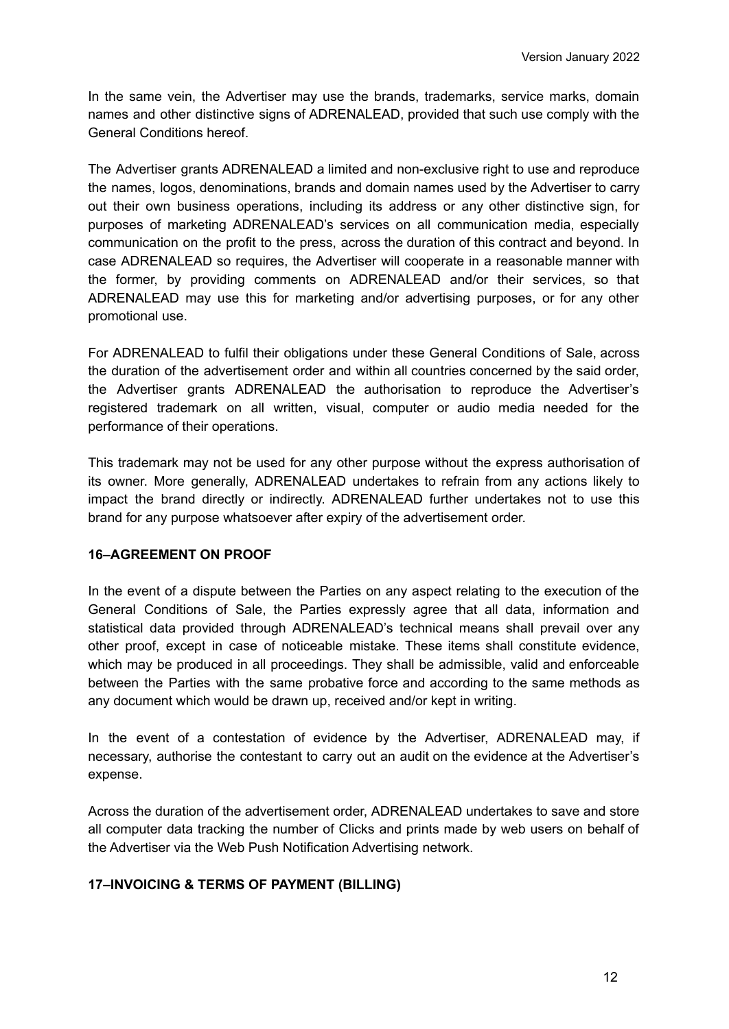In the same vein, the Advertiser may use the brands, trademarks, service marks, domain names and other distinctive signs of ADRENALEAD, provided that such use comply with the General Conditions hereof.

The Advertiser grants ADRENALEAD a limited and non-exclusive right to use and reproduce the names, logos, denominations, brands and domain names used by the Advertiser to carry out their own business operations, including its address or any other distinctive sign, for purposes of marketing ADRENALEAD's services on all communication media, especially communication on the profit to the press, across the duration of this contract and beyond. In case ADRENALEAD so requires, the Advertiser will cooperate in a reasonable manner with the former, by providing comments on ADRENALEAD and/or their services, so that ADRENALEAD may use this for marketing and/or advertising purposes, or for any other promotional use.

For ADRENALEAD to fulfil their obligations under these General Conditions of Sale, across the duration of the advertisement order and within all countries concerned by the said order, the Advertiser grants ADRENALEAD the authorisation to reproduce the Advertiser's registered trademark on all written, visual, computer or audio media needed for the performance of their operations.

This trademark may not be used for any other purpose without the express authorisation of its owner. More generally, ADRENALEAD undertakes to refrain from any actions likely to impact the brand directly or indirectly. ADRENALEAD further undertakes not to use this brand for any purpose whatsoever after expiry of the advertisement order.

#### **16–AGREEMENT ON PROOF**

In the event of a dispute between the Parties on any aspect relating to the execution of the General Conditions of Sale, the Parties expressly agree that all data, information and statistical data provided through ADRENALEAD's technical means shall prevail over any other proof, except in case of noticeable mistake. These items shall constitute evidence, which may be produced in all proceedings. They shall be admissible, valid and enforceable between the Parties with the same probative force and according to the same methods as any document which would be drawn up, received and/or kept in writing.

In the event of a contestation of evidence by the Advertiser, ADRENALEAD may, if necessary, authorise the contestant to carry out an audit on the evidence at the Advertiser's expense.

Across the duration of the advertisement order, ADRENALEAD undertakes to save and store all computer data tracking the number of Clicks and prints made by web users on behalf of the Advertiser via the Web Push Notification Advertising network.

#### **17–INVOICING & TERMS OF PAYMENT (BILLING)**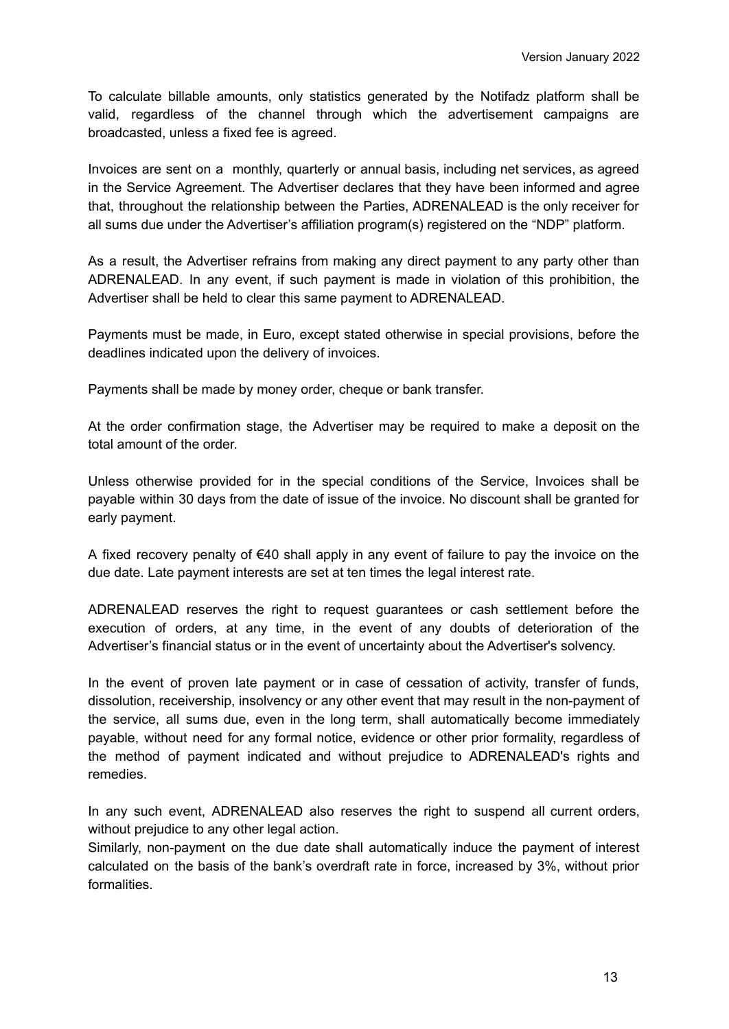To calculate billable amounts, only statistics generated by the Notifadz platform shall be valid, regardless of the channel through which the advertisement campaigns are broadcasted, unless a fixed fee is agreed.

Invoices are sent on a monthly, quarterly or annual basis, including net services, as agreed in the Service Agreement. The Advertiser declares that they have been informed and agree that, throughout the relationship between the Parties, ADRENALEAD is the only receiver for all sums due under the Advertiser's affiliation program(s) registered on the "NDP" platform.

As a result, the Advertiser refrains from making any direct payment to any party other than ADRENALEAD. In any event, if such payment is made in violation of this prohibition, the Advertiser shall be held to clear this same payment to ADRENALEAD.

Payments must be made, in Euro, except stated otherwise in special provisions, before the deadlines indicated upon the delivery of invoices.

Payments shall be made by money order, cheque or bank transfer.

At the order confirmation stage, the Advertiser may be required to make a deposit on the total amount of the order.

Unless otherwise provided for in the special conditions of the Service, Invoices shall be payable within 30 days from the date of issue of the invoice. No discount shall be granted for early payment.

A fixed recovery penalty of €40 shall apply in any event of failure to pay the invoice on the due date. Late payment interests are set at ten times the legal interest rate.

ADRENALEAD reserves the right to request guarantees or cash settlement before the execution of orders, at any time, in the event of any doubts of deterioration of the Advertiser's financial status or in the event of uncertainty about the Advertiser's solvency.

In the event of proven late payment or in case of cessation of activity, transfer of funds, dissolution, receivership, insolvency or any other event that may result in the non-payment of the service, all sums due, even in the long term, shall automatically become immediately payable, without need for any formal notice, evidence or other prior formality, regardless of the method of payment indicated and without prejudice to ADRENALEAD's rights and remedies.

In any such event, ADRENALEAD also reserves the right to suspend all current orders, without prejudice to any other legal action.

Similarly, non-payment on the due date shall automatically induce the payment of interest calculated on the basis of the bank's overdraft rate in force, increased by 3%, without prior formalities.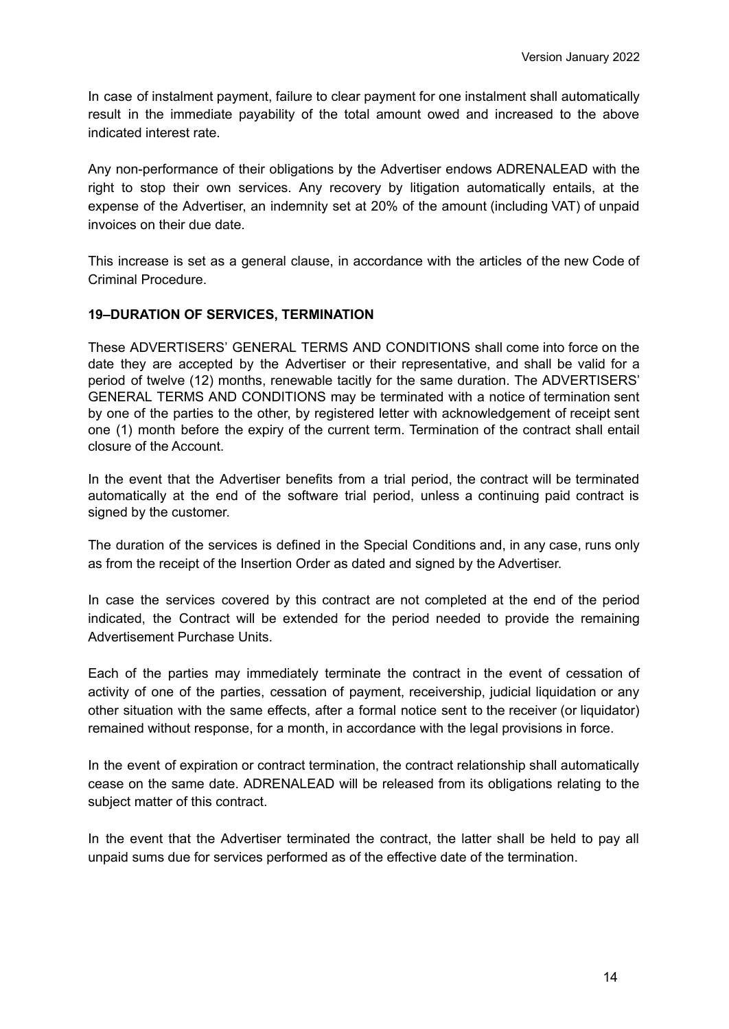In case of instalment payment, failure to clear payment for one instalment shall automatically result in the immediate payability of the total amount owed and increased to the above indicated interest rate.

Any non-performance of their obligations by the Advertiser endows ADRENALEAD with the right to stop their own services. Any recovery by litigation automatically entails, at the expense of the Advertiser, an indemnity set at 20% of the amount (including VAT) of unpaid invoices on their due date.

This increase is set as a general clause, in accordance with the articles of the new Code of Criminal Procedure.

## **19–DURATION OF SERVICES, TERMINATION**

These ADVERTISERS' GENERAL TERMS AND CONDITIONS shall come into force on the date they are accepted by the Advertiser or their representative, and shall be valid for a period of twelve (12) months, renewable tacitly for the same duration. The ADVERTISERS' GENERAL TERMS AND CONDITIONS may be terminated with a notice of termination sent by one of the parties to the other, by registered letter with acknowledgement of receipt sent one (1) month before the expiry of the current term. Termination of the contract shall entail closure of the Account.

In the event that the Advertiser benefits from a trial period, the contract will be terminated automatically at the end of the software trial period, unless a continuing paid contract is signed by the customer.

The duration of the services is defined in the Special Conditions and, in any case, runs only as from the receipt of the Insertion Order as dated and signed by the Advertiser.

In case the services covered by this contract are not completed at the end of the period indicated, the Contract will be extended for the period needed to provide the remaining Advertisement Purchase Units.

Each of the parties may immediately terminate the contract in the event of cessation of activity of one of the parties, cessation of payment, receivership, judicial liquidation or any other situation with the same effects, after a formal notice sent to the receiver (or liquidator) remained without response, for a month, in accordance with the legal provisions in force.

In the event of expiration or contract termination, the contract relationship shall automatically cease on the same date. ADRENALEAD will be released from its obligations relating to the subject matter of this contract.

In the event that the Advertiser terminated the contract, the latter shall be held to pay all unpaid sums due for services performed as of the effective date of the termination.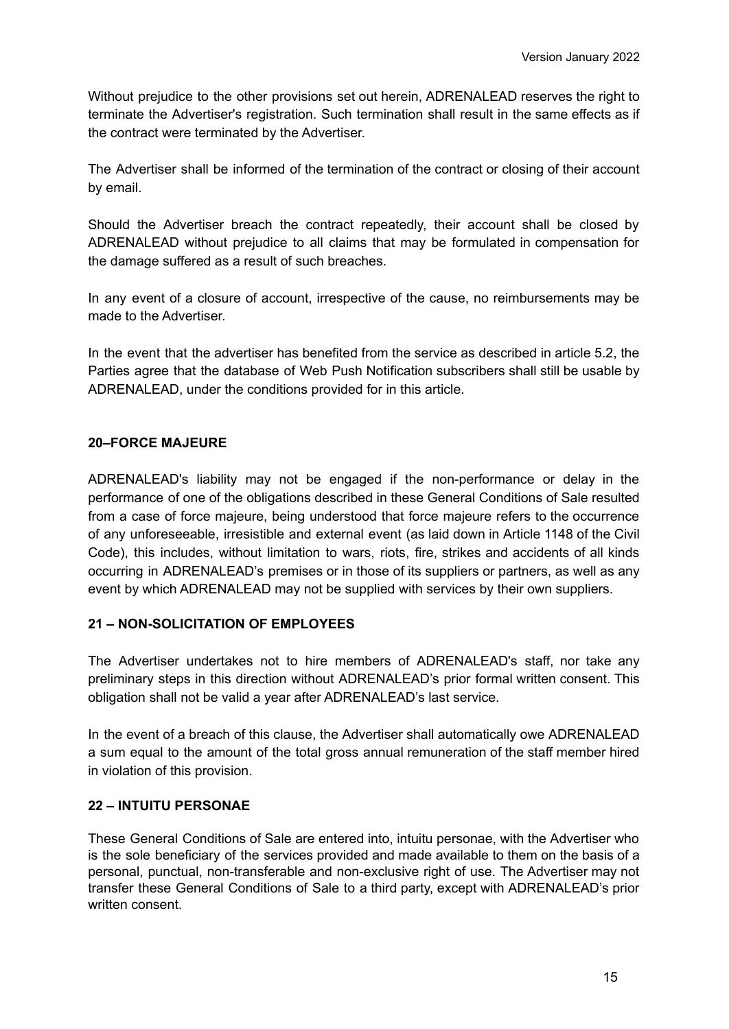Without prejudice to the other provisions set out herein, ADRENALEAD reserves the right to terminate the Advertiser's registration. Such termination shall result in the same effects as if the contract were terminated by the Advertiser.

The Advertiser shall be informed of the termination of the contract or closing of their account by email.

Should the Advertiser breach the contract repeatedly, their account shall be closed by ADRENALEAD without prejudice to all claims that may be formulated in compensation for the damage suffered as a result of such breaches.

In any event of a closure of account, irrespective of the cause, no reimbursements may be made to the Advertiser.

In the event that the advertiser has benefited from the service as described in article 5.2, the Parties agree that the database of Web Push Notification subscribers shall still be usable by ADRENALEAD, under the conditions provided for in this article.

# **20–FORCE MAJEURE**

ADRENALEAD's liability may not be engaged if the non-performance or delay in the performance of one of the obligations described in these General Conditions of Sale resulted from a case of force majeure, being understood that force majeure refers to the occurrence of any unforeseeable, irresistible and external event (as laid down in Article 1148 of the Civil Code), this includes, without limitation to wars, riots, fire, strikes and accidents of all kinds occurring in ADRENALEAD's premises or in those of its suppliers or partners, as well as any event by which ADRENALEAD may not be supplied with services by their own suppliers.

#### **21 – NON-SOLICITATION OF EMPLOYEES**

The Advertiser undertakes not to hire members of ADRENALEAD's staff, nor take any preliminary steps in this direction without ADRENALEAD's prior formal written consent. This obligation shall not be valid a year after ADRENALEAD's last service.

In the event of a breach of this clause, the Advertiser shall automatically owe ADRENALEAD a sum equal to the amount of the total gross annual remuneration of the staff member hired in violation of this provision.

# **22 – INTUITU PERSONAE**

These General Conditions of Sale are entered into, intuitu personae, with the Advertiser who is the sole beneficiary of the services provided and made available to them on the basis of a personal, punctual, non-transferable and non-exclusive right of use. The Advertiser may not transfer these General Conditions of Sale to a third party, except with ADRENALEAD's prior written consent.